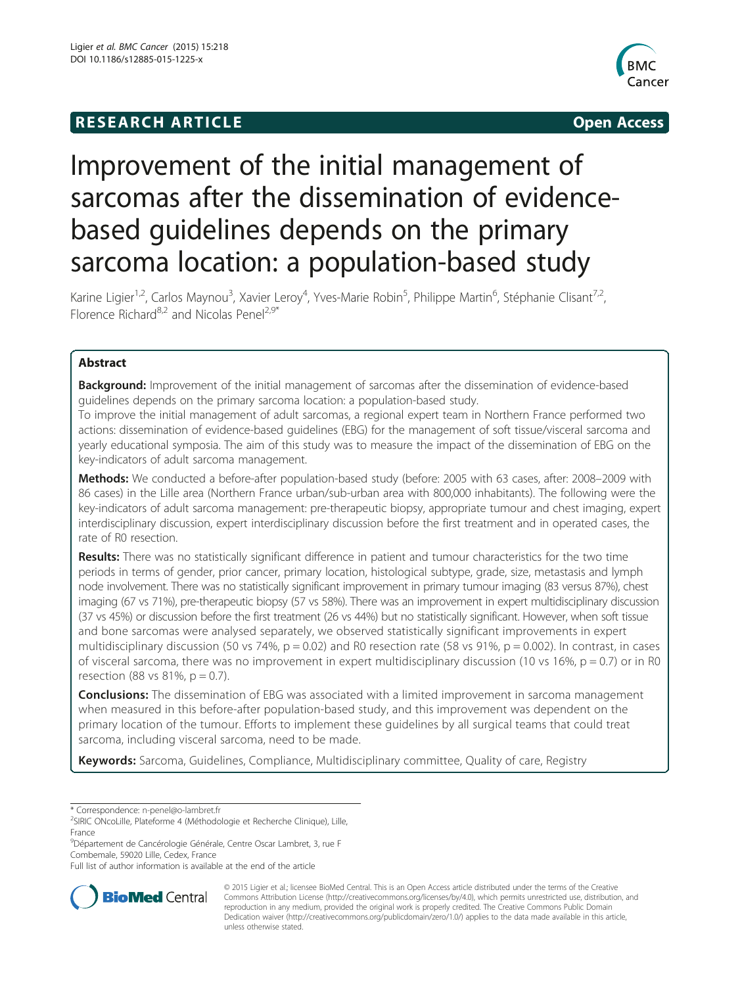# **RESEARCH ARTICLE Example 2014 The SEAR CH ACCESS**



# Improvement of the initial management of sarcomas after the dissemination of evidencebased guidelines depends on the primary sarcoma location: a population-based study

Karine Ligier<sup>1,2</sup>, Carlos Maynou<sup>3</sup>, Xavier Leroy<sup>4</sup>, Yves-Marie Robin<sup>5</sup>, Philippe Martin<sup>6</sup>, Stéphanie Clisant<sup>7,2</sup>, Florence Richard<sup>8,2</sup> and Nicolas Penel<sup>2,9\*</sup>

# Abstract

Background: Improvement of the initial management of sarcomas after the dissemination of evidence-based guidelines depends on the primary sarcoma location: a population-based study.

To improve the initial management of adult sarcomas, a regional expert team in Northern France performed two actions: dissemination of evidence-based guidelines (EBG) for the management of soft tissue/visceral sarcoma and yearly educational symposia. The aim of this study was to measure the impact of the dissemination of EBG on the key-indicators of adult sarcoma management.

Methods: We conducted a before-after population-based study (before: 2005 with 63 cases, after: 2008–2009 with 86 cases) in the Lille area (Northern France urban/sub-urban area with 800,000 inhabitants). The following were the key-indicators of adult sarcoma management: pre-therapeutic biopsy, appropriate tumour and chest imaging, expert interdisciplinary discussion, expert interdisciplinary discussion before the first treatment and in operated cases, the rate of R0 resection.

Results: There was no statistically significant difference in patient and tumour characteristics for the two time periods in terms of gender, prior cancer, primary location, histological subtype, grade, size, metastasis and lymph node involvement. There was no statistically significant improvement in primary tumour imaging (83 versus 87%), chest imaging (67 vs 71%), pre-therapeutic biopsy (57 vs 58%). There was an improvement in expert multidisciplinary discussion (37 vs 45%) or discussion before the first treatment (26 vs 44%) but no statistically significant. However, when soft tissue and bone sarcomas were analysed separately, we observed statistically significant improvements in expert multidisciplinary discussion (50 vs 74%,  $p = 0.02$ ) and R0 resection rate (58 vs 91%,  $p = 0.002$ ). In contrast, in cases of visceral sarcoma, there was no improvement in expert multidisciplinary discussion (10 vs 16%,  $p = 0.7$ ) or in R0 resection (88 vs  $81\%$ , p = 0.7).

**Conclusions:** The dissemination of EBG was associated with a limited improvement in sarcoma management when measured in this before-after population-based study, and this improvement was dependent on the primary location of the tumour. Efforts to implement these guidelines by all surgical teams that could treat sarcoma, including visceral sarcoma, need to be made.

Keywords: Sarcoma, Guidelines, Compliance, Multidisciplinary committee, Quality of care, Registry

Full list of author information is available at the end of the article



© 2015 Ligier et al.; licensee BioMed Central. This is an Open Access article distributed under the terms of the Creative Commons Attribution License [\(http://creativecommons.org/licenses/by/4.0\)](http://creativecommons.org/licenses/by/4.0), which permits unrestricted use, distribution, and reproduction in any medium, provided the original work is properly credited. The Creative Commons Public Domain Dedication waiver [\(http://creativecommons.org/publicdomain/zero/1.0/](http://creativecommons.org/publicdomain/zero/1.0/)) applies to the data made available in this article, unless otherwise stated.

<sup>\*</sup> Correspondence: [n-penel@o-lambret.fr](mailto:n-penel@o-lambret.fr) <sup>2</sup>

<sup>&</sup>lt;sup>2</sup>SIRIC ONcoLille, Plateforme 4 (Méthodologie et Recherche Clinique), Lille, France

<sup>9</sup> Département de Cancérologie Générale, Centre Oscar Lambret, 3, rue F Combemale, 59020 Lille, Cedex, France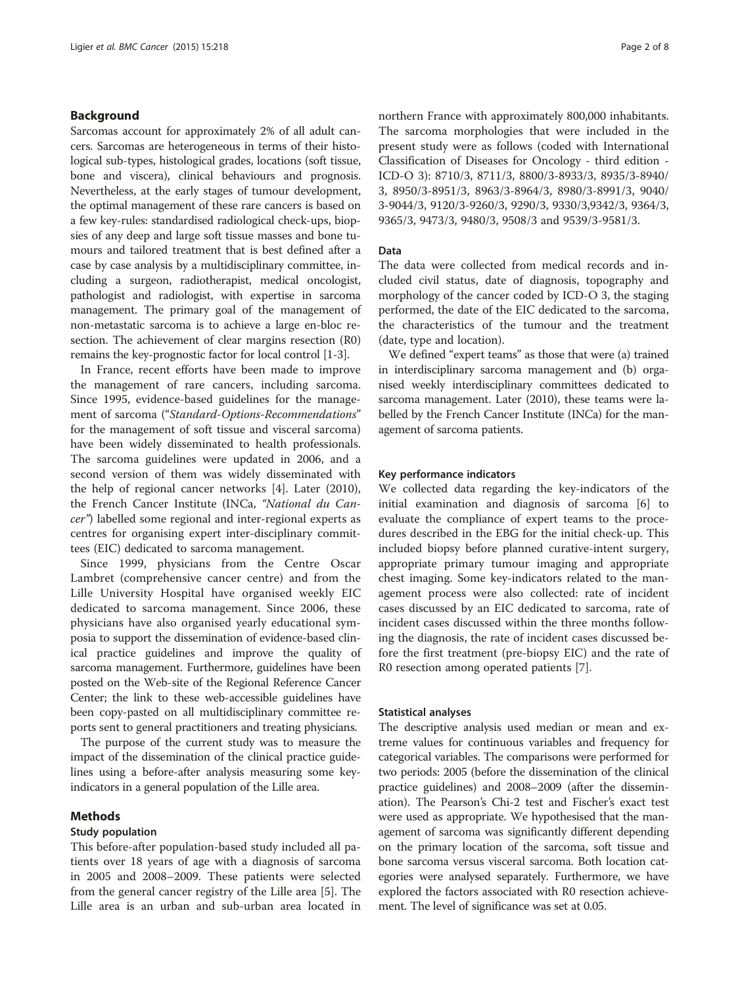# Background

Sarcomas account for approximately 2% of all adult cancers. Sarcomas are heterogeneous in terms of their histological sub-types, histological grades, locations (soft tissue, bone and viscera), clinical behaviours and prognosis. Nevertheless, at the early stages of tumour development, the optimal management of these rare cancers is based on a few key-rules: standardised radiological check-ups, biopsies of any deep and large soft tissue masses and bone tumours and tailored treatment that is best defined after a case by case analysis by a multidisciplinary committee, including a surgeon, radiotherapist, medical oncologist, pathologist and radiologist, with expertise in sarcoma management. The primary goal of the management of non-metastatic sarcoma is to achieve a large en-bloc resection. The achievement of clear margins resection (R0) remains the key-prognostic factor for local control [\[1](#page-6-0)-[3](#page-6-0)].

In France, recent efforts have been made to improve the management of rare cancers, including sarcoma. Since 1995, evidence-based guidelines for the management of sarcoma ("Standard-Options-Recommendations" for the management of soft tissue and visceral sarcoma) have been widely disseminated to health professionals. The sarcoma guidelines were updated in 2006, and a second version of them was widely disseminated with the help of regional cancer networks [[4\]](#page-6-0). Later (2010), the French Cancer Institute (INCa, "National du Cancer") labelled some regional and inter-regional experts as centres for organising expert inter-disciplinary committees (EIC) dedicated to sarcoma management.

Since 1999, physicians from the Centre Oscar Lambret (comprehensive cancer centre) and from the Lille University Hospital have organised weekly EIC dedicated to sarcoma management. Since 2006, these physicians have also organised yearly educational symposia to support the dissemination of evidence-based clinical practice guidelines and improve the quality of sarcoma management. Furthermore, guidelines have been posted on the Web-site of the Regional Reference Cancer Center; the link to these web-accessible guidelines have been copy-pasted on all multidisciplinary committee reports sent to general practitioners and treating physicians.

The purpose of the current study was to measure the impact of the dissemination of the clinical practice guidelines using a before-after analysis measuring some keyindicators in a general population of the Lille area.

# Methods

# Study population

This before-after population-based study included all patients over 18 years of age with a diagnosis of sarcoma in 2005 and 2008–2009. These patients were selected from the general cancer registry of the Lille area [\[5](#page-6-0)]. The Lille area is an urban and sub-urban area located in

northern France with approximately 800,000 inhabitants. The sarcoma morphologies that were included in the present study were as follows (coded with International Classification of Diseases for Oncology - third edition - ICD-O 3): 8710/3, 8711/3, 8800/3-8933/3, 8935/3-8940/ 3, 8950/3-8951/3, 8963/3-8964/3, 8980/3-8991/3, 9040/ 3-9044/3, 9120/3-9260/3, 9290/3, 9330/3,9342/3, 9364/3, 9365/3, 9473/3, 9480/3, 9508/3 and 9539/3-9581/3.

# Data

The data were collected from medical records and included civil status, date of diagnosis, topography and morphology of the cancer coded by ICD-O 3, the staging performed, the date of the EIC dedicated to the sarcoma, the characteristics of the tumour and the treatment (date, type and location).

We defined "expert teams" as those that were (a) trained in interdisciplinary sarcoma management and (b) organised weekly interdisciplinary committees dedicated to sarcoma management. Later (2010), these teams were labelled by the French Cancer Institute (INCa) for the management of sarcoma patients.

# Key performance indicators

We collected data regarding the key-indicators of the initial examination and diagnosis of sarcoma [[6](#page-6-0)] to evaluate the compliance of expert teams to the procedures described in the EBG for the initial check-up. This included biopsy before planned curative-intent surgery, appropriate primary tumour imaging and appropriate chest imaging. Some key-indicators related to the management process were also collected: rate of incident cases discussed by an EIC dedicated to sarcoma, rate of incident cases discussed within the three months following the diagnosis, the rate of incident cases discussed before the first treatment (pre-biopsy EIC) and the rate of R0 resection among operated patients [\[7](#page-6-0)].

# Statistical analyses

The descriptive analysis used median or mean and extreme values for continuous variables and frequency for categorical variables. The comparisons were performed for two periods: 2005 (before the dissemination of the clinical practice guidelines) and 2008–2009 (after the dissemination). The Pearson's Chi-2 test and Fischer's exact test were used as appropriate. We hypothesised that the management of sarcoma was significantly different depending on the primary location of the sarcoma, soft tissue and bone sarcoma versus visceral sarcoma. Both location categories were analysed separately. Furthermore, we have explored the factors associated with R0 resection achievement. The level of significance was set at 0.05.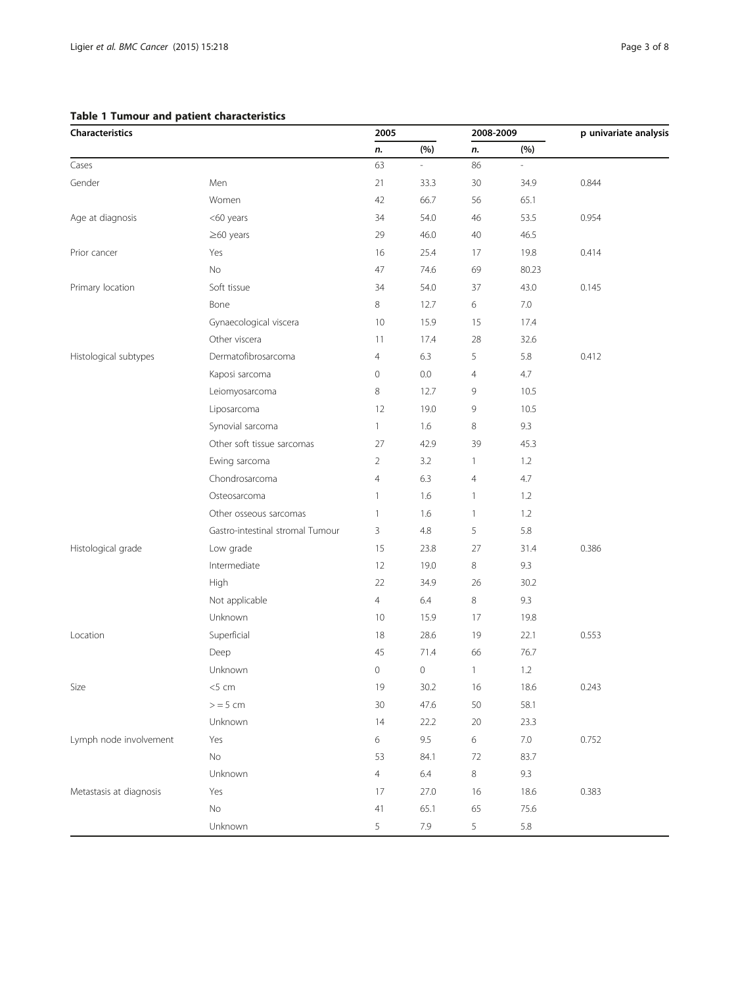# <span id="page-2-0"></span>Table 1 Tumour and patient characteristics

| Characteristics         |                                  | 2005                |         |                | 2008-2009     | p univariate analysis |
|-------------------------|----------------------------------|---------------------|---------|----------------|---------------|-----------------------|
|                         |                                  | n.                  | (%)     | n.             | (%)           |                       |
| Cases                   |                                  | 63                  |         | 86             | $\frac{1}{2}$ |                       |
| Gender                  | Men                              | 21                  | 33.3    | 30             | 34.9          | 0.844                 |
|                         | Women                            | 42                  | 66.7    | 56             | 65.1          |                       |
| Age at diagnosis        | <60 years                        | 34                  | 54.0    | 46             | 53.5          | 0.954                 |
|                         | $\geq$ 60 years                  | 29                  | 46.0    | 40             | 46.5          |                       |
| Prior cancer            | Yes                              | 16                  | 25.4    | 17             | 19.8          | 0.414                 |
|                         | No                               | 47                  | 74.6    | 69             | 80.23         |                       |
| Primary location        | Soft tissue                      | 34                  | 54.0    | 37             | 43.0          | 0.145                 |
|                         | Bone                             | 8                   | 12.7    | 6              | $7.0\,$       |                       |
|                         | Gynaecological viscera           | 10                  | 15.9    | 15             | 17.4          |                       |
|                         | Other viscera                    | 11                  | 17.4    | 28             | 32.6          |                       |
| Histological subtypes   | Dermatofibrosarcoma              | $\overline{4}$      | 6.3     | 5              | 5.8           | 0.412                 |
|                         | Kaposi sarcoma                   | 0                   | 0.0     | $\overline{4}$ | 4.7           |                       |
|                         | Leiomyosarcoma                   | 8                   | 12.7    | 9              | 10.5          |                       |
|                         | Liposarcoma                      | 12                  | 19.0    | 9              | 10.5          |                       |
|                         | Synovial sarcoma                 | $\mathbf{1}$        | 1.6     | 8              | 9.3           |                       |
|                         | Other soft tissue sarcomas       | 27                  | 42.9    | 39             | 45.3          |                       |
|                         | Ewing sarcoma                    | $\overline{2}$      | 3.2     | $\mathbf{1}$   | 1.2           |                       |
|                         | Chondrosarcoma                   | $\overline{4}$      | 6.3     | $\overline{4}$ | 4.7           |                       |
|                         | Osteosarcoma                     | $\mathbf{1}$        | 1.6     | $\mathbf{1}$   | 1.2           |                       |
|                         | Other osseous sarcomas           | $\mathbf{1}$        | 1.6     | $\mathbf{1}$   | 1.2           |                       |
|                         | Gastro-intestinal stromal Tumour | 3                   | 4.8     | 5              | 5.8           |                       |
| Histological grade      | Low grade                        | 15                  | 23.8    | 27             | 31.4          | 0.386                 |
|                         | Intermediate                     | 12                  | 19.0    | 8              | 9.3           |                       |
|                         | High                             | 22                  | 34.9    | 26             | 30.2          |                       |
|                         | Not applicable                   | $\overline{4}$      | 6.4     | 8              | 9.3           |                       |
|                         | Unknown                          | 10                  | 15.9    | 17             | 19.8          |                       |
| Location                | Superficial                      | 18                  | 28.6    | 19             | 22.1          | 0.553                 |
|                         | Deep                             | 45                  | 71.4    | 66             | 76.7          |                       |
|                         | Unknown                          | $\mathsf{O}\xspace$ | 0       | $\mathbf{1}$   | 1.2           |                       |
| Size                    | $<$ 5 cm                         | 19                  | 30.2    | 16             | 18.6          | 0.243                 |
|                         | $>$ = 5 cm                       | 30                  | 47.6    | 50             | 58.1          |                       |
|                         | Unknown                          | 14                  | 22.2    | 20             | 23.3          |                       |
| Lymph node involvement  | Yes                              | 6                   | 9.5     | 6              | $7.0\,$       | 0.752                 |
|                         | No                               | 53                  | 84.1    | 72             | 83.7          |                       |
|                         | Unknown                          | $\overline{4}$      | $6.4$   | $\,8\,$        | 9.3           |                       |
| Metastasis at diagnosis | Yes                              | 17                  | 27.0    | 16             | 18.6          | 0.383                 |
|                         | $\rm No$                         | 41                  | 65.1    | 65             | 75.6          |                       |
|                         | Unknown                          | 5                   | $7.9\,$ | 5              | 5.8           |                       |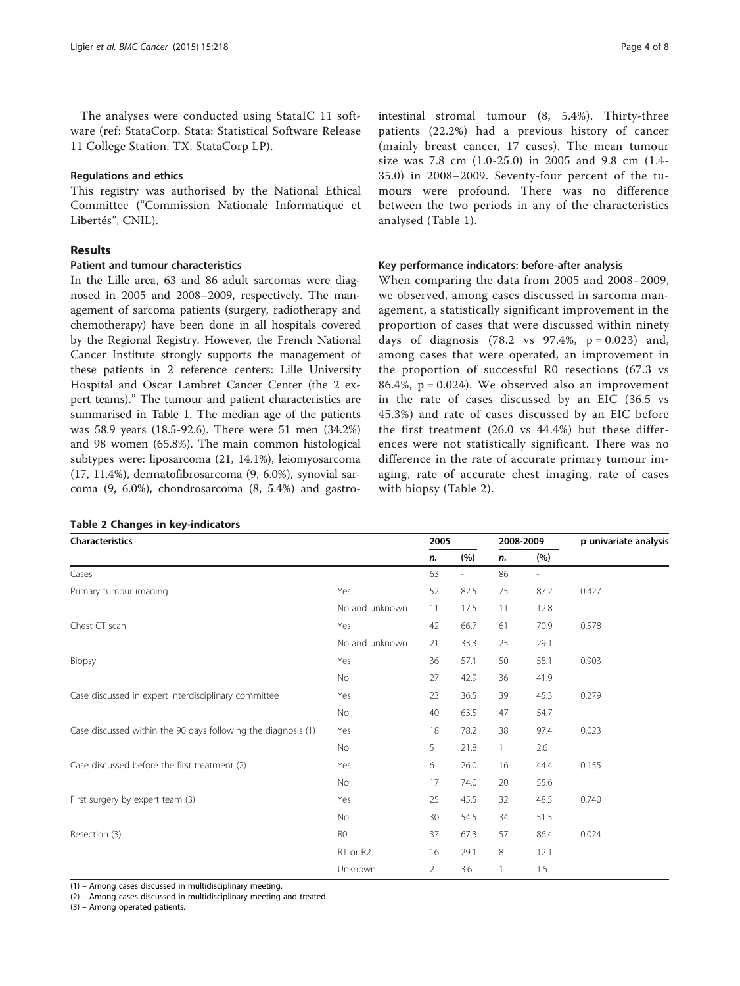The analyses were conducted using StataIC 11 software (ref: StataCorp. Stata: Statistical Software Release 11 College Station. TX. StataCorp LP).

#### Regulations and ethics

This registry was authorised by the National Ethical Committee ("Commission Nationale Informatique et Libertés", CNIL).

# Results

#### Patient and tumour characteristics

In the Lille area, 63 and 86 adult sarcomas were diagnosed in 2005 and 2008–2009, respectively. The management of sarcoma patients (surgery, radiotherapy and chemotherapy) have been done in all hospitals covered by the Regional Registry. However, the French National Cancer Institute strongly supports the management of these patients in 2 reference centers: Lille University Hospital and Oscar Lambret Cancer Center (the 2 expert teams)." The tumour and patient characteristics are summarised in Table [1.](#page-2-0) The median age of the patients was 58.9 years (18.5-92.6). There were 51 men (34.2%) and 98 women (65.8%). The main common histological subtypes were: liposarcoma (21, 14.1%), leiomyosarcoma (17, 11.4%), dermatofibrosarcoma (9, 6.0%), synovial sarcoma (9, 6.0%), chondrosarcoma (8, 5.4%) and gastro-

|  | <b>Table 2 Changes in key-indicators</b> |  |  |  |
|--|------------------------------------------|--|--|--|
|--|------------------------------------------|--|--|--|

intestinal stromal tumour (8, 5.4%). Thirty-three patients (22.2%) had a previous history of cancer (mainly breast cancer, 17 cases). The mean tumour size was 7.8 cm (1.0-25.0) in 2005 and 9.8 cm (1.4- 35.0) in 2008–2009. Seventy-four percent of the tumours were profound. There was no difference between the two periods in any of the characteristics analysed (Table [1](#page-2-0)).

#### Key performance indicators: before-after analysis

When comparing the data from 2005 and 2008–2009, we observed, among cases discussed in sarcoma management, a statistically significant improvement in the proportion of cases that were discussed within ninety days of diagnosis  $(78.2 \text{ vs } 97.4\%, \text{ p} = 0.023)$  and, among cases that were operated, an improvement in the proportion of successful R0 resections (67.3 vs 86.4%,  $p = 0.024$ ). We observed also an improvement in the rate of cases discussed by an EIC (36.5 vs 45.3%) and rate of cases discussed by an EIC before the first treatment (26.0 vs 44.4%) but these differences were not statistically significant. There was no difference in the rate of accurate primary tumour imaging, rate of accurate chest imaging, rate of cases with biopsy (Table 2).

| Characteristics                                               |                | 2005           |                          | 2008-2009      |                | p univariate analysis |
|---------------------------------------------------------------|----------------|----------------|--------------------------|----------------|----------------|-----------------------|
|                                                               |                | n.             | (%)                      | n.             | (%)            |                       |
| Cases                                                         |                | 63             | $\overline{\phantom{a}}$ | 86             | $\overline{a}$ |                       |
| Primary tumour imaging                                        | Yes            | 52             | 82.5                     | 75             | 87.2           | 0.427                 |
|                                                               | No and unknown | 11             | 17.5                     | 11             | 12.8           |                       |
| Chest CT scan                                                 | Yes            | 42             | 66.7                     | 61             | 70.9           | 0.578                 |
|                                                               | No and unknown | 21             | 33.3                     | 25             | 29.1           |                       |
| Biopsy                                                        | Yes            | 36             | 57.1                     | 50             | 58.1           | 0.903                 |
|                                                               | No             | 27             | 42.9                     | 36             | 41.9           |                       |
| Case discussed in expert interdisciplinary committee          | Yes            | 23             | 36.5                     | 39             | 45.3           | 0.279                 |
|                                                               | No             | 40             | 63.5                     | 47             | 54.7           |                       |
| Case discussed within the 90 days following the diagnosis (1) | Yes            | 18             | 78.2                     | 38             | 97.4           | 0.023                 |
|                                                               | <b>No</b>      | 5              | 21.8                     | $\mathbf{1}$   | 2.6            |                       |
| Case discussed before the first treatment (2)                 | Yes            | 6              | 26.0                     | 16             | 44.4           | 0.155                 |
|                                                               | No             | 17             | 74.0                     | 20             | 55.6           |                       |
| First surgery by expert team (3)                              | Yes            | 25             | 45.5                     | 32             | 48.5           | 0.740                 |
|                                                               | No             | 30             | 54.5                     | 34             | 51.5           |                       |
| Resection (3)                                                 | R <sub>0</sub> | 37             | 67.3                     | 57             | 86.4           | 0.024                 |
|                                                               | R1 or R2       | 16             | 29.1                     | 8              | 12.1           |                       |
|                                                               | Unknown        | $\overline{2}$ | 3.6                      | $\overline{1}$ | 1.5            |                       |

(1) – Among cases discussed in multidisciplinary meeting.

(2) – Among cases discussed in multidisciplinary meeting and treated.

(3) – Among operated patients.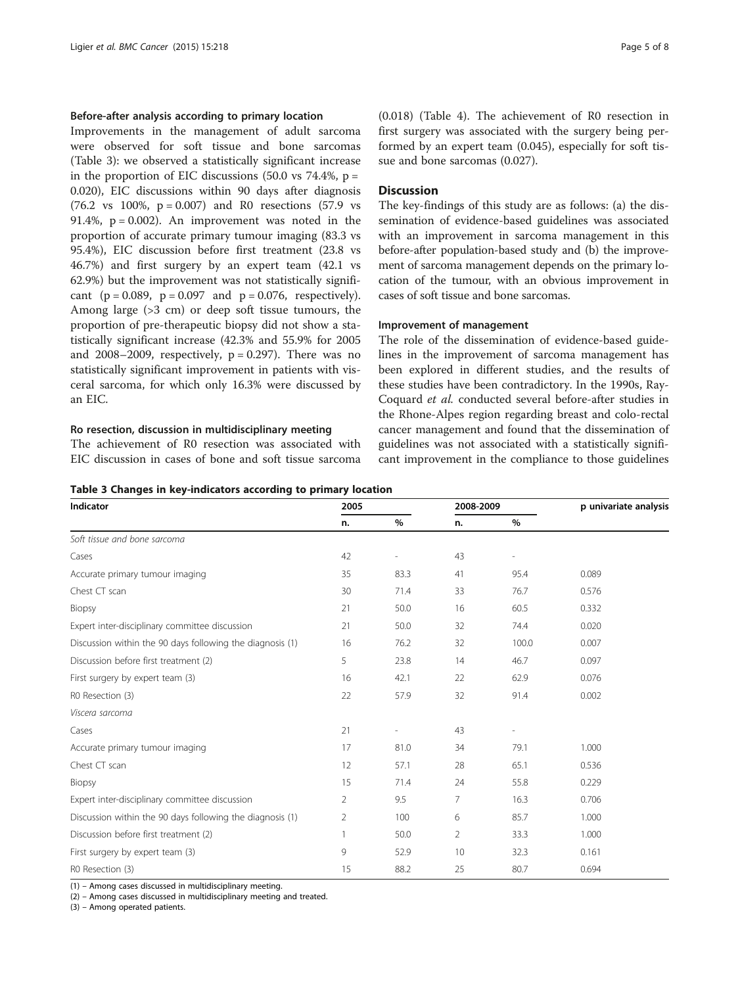## Before-after analysis according to primary location

Improvements in the management of adult sarcoma were observed for soft tissue and bone sarcomas (Table 3): we observed a statistically significant increase in the proportion of EIC discussions  $(50.0 \text{ vs } 74.4\%, \text{ p} =$ 0.020), EIC discussions within 90 days after diagnosis  $(76.2 \text{ vs } 100\%, \text{ p} = 0.007)$  and R0 resections  $(57.9 \text{ vs } 100\%, \text{ p} = 0.007)$ 91.4%,  $p = 0.002$ ). An improvement was noted in the proportion of accurate primary tumour imaging (83.3 vs 95.4%), EIC discussion before first treatment (23.8 vs 46.7%) and first surgery by an expert team (42.1 vs 62.9%) but the improvement was not statistically significant  $(p = 0.089, p = 0.097, q = 0.076, respectively)$ . Among large (>3 cm) or deep soft tissue tumours, the proportion of pre-therapeutic biopsy did not show a statistically significant increase (42.3% and 55.9% for 2005 and 2008–2009, respectively,  $p = 0.297$ ). There was no statistically significant improvement in patients with visceral sarcoma, for which only 16.3% were discussed by an EIC.

# Ro resection, discussion in multidisciplinary meeting

The achievement of R0 resection was associated with EIC discussion in cases of bone and soft tissue sarcoma

| Page 5 |  | ∩t | Զ |
|--------|--|----|---|
|--------|--|----|---|

(0.018) (Table [4\)](#page-5-0). The achievement of R0 resection in first surgery was associated with the surgery being performed by an expert team (0.045), especially for soft tissue and bone sarcomas (0.027).

# **Discussion**

The key-findings of this study are as follows: (a) the dissemination of evidence-based guidelines was associated with an improvement in sarcoma management in this before-after population-based study and (b) the improvement of sarcoma management depends on the primary location of the tumour, with an obvious improvement in cases of soft tissue and bone sarcomas.

#### Improvement of management

The role of the dissemination of evidence-based guidelines in the improvement of sarcoma management has been explored in different studies, and the results of these studies have been contradictory. In the 1990s, Ray-Coquard et al. conducted several before-after studies in the Rhone-Alpes region regarding breast and colo-rectal cancer management and found that the dissemination of guidelines was not associated with a statistically significant improvement in the compliance to those guidelines

# Table 3 Changes in key-indicators according to primary location

| Indicator                                                 | 2005           |      | 2008-2009      |       | p univariate analysis |
|-----------------------------------------------------------|----------------|------|----------------|-------|-----------------------|
|                                                           | n.             | %    | n.             | %     |                       |
| Soft tissue and bone sarcoma                              |                |      |                |       |                       |
| Cases                                                     | 42             |      | 43             |       |                       |
| Accurate primary tumour imaging                           | 35             | 83.3 | 41             | 95.4  | 0.089                 |
| Chest CT scan                                             | 30             | 71.4 | 33             | 76.7  | 0.576                 |
| Biopsy                                                    | 21             | 50.0 | 16             | 60.5  | 0.332                 |
| Expert inter-disciplinary committee discussion            | 21             | 50.0 | 32             | 74.4  | 0.020                 |
| Discussion within the 90 days following the diagnosis (1) | 16             | 76.2 | 32             | 100.0 | 0.007                 |
| Discussion before first treatment (2)                     | 5              | 23.8 | 14             | 46.7  | 0.097                 |
| First surgery by expert team (3)                          | 16             | 42.1 | 22             | 62.9  | 0.076                 |
| R0 Resection (3)                                          | 22             | 57.9 | 32             | 91.4  | 0.002                 |
| Viscera sarcoma                                           |                |      |                |       |                       |
| Cases                                                     | 21             |      | 43             |       |                       |
| Accurate primary tumour imaging                           | 17             | 81.0 | 34             | 79.1  | 1.000                 |
| Chest CT scan                                             | 12             | 57.1 | 28             | 65.1  | 0.536                 |
| Biopsy                                                    | 15             | 71.4 | 24             | 55.8  | 0.229                 |
| Expert inter-disciplinary committee discussion            | $\overline{2}$ | 9.5  | 7              | 16.3  | 0.706                 |
| Discussion within the 90 days following the diagnosis (1) | 2              | 100  | 6              | 85.7  | 1.000                 |
| Discussion before first treatment (2)                     | $\mathbf{1}$   | 50.0 | $\overline{2}$ | 33.3  | 1.000                 |
| First surgery by expert team (3)                          | 9              | 52.9 | 10             | 32.3  | 0.161                 |
| R0 Resection (3)                                          | 15             | 88.2 | 25             | 80.7  | 0.694                 |

(1) – Among cases discussed in multidisciplinary meeting.

(2) – Among cases discussed in multidisciplinary meeting and treated.

(3) – Among operated patients.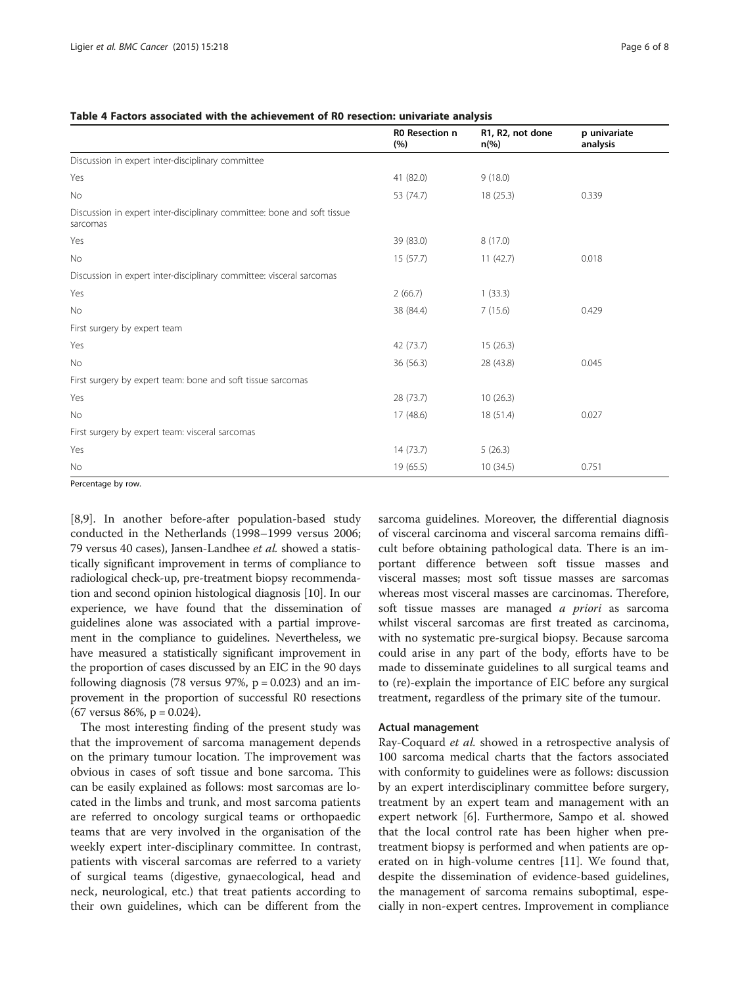#### <span id="page-5-0"></span>Table 4 Factors associated with the achievement of R0 resection: univariate analysis

|                                                                                     | <b>RO</b> Resection n<br>(%) | R1, R2, not done<br>$n\frac{6}{6}$ | p univariate<br>analysis |
|-------------------------------------------------------------------------------------|------------------------------|------------------------------------|--------------------------|
| Discussion in expert inter-disciplinary committee                                   |                              |                                    |                          |
| Yes                                                                                 | 41 (82.0)                    | 9(18.0)                            |                          |
| No                                                                                  | 53 (74.7)                    | 18 (25.3)                          | 0.339                    |
| Discussion in expert inter-disciplinary committee: bone and soft tissue<br>sarcomas |                              |                                    |                          |
| Yes                                                                                 | 39 (83.0)                    | 8(17.0)                            |                          |
| No                                                                                  | 15(57.7)                     | 11(42.7)                           | 0.018                    |
| Discussion in expert inter-disciplinary committee: visceral sarcomas                |                              |                                    |                          |
| Yes                                                                                 | 2(66.7)                      | 1(33.3)                            |                          |
| No                                                                                  | 38 (84.4)                    | 7(15.6)                            | 0.429                    |
| First surgery by expert team                                                        |                              |                                    |                          |
| Yes                                                                                 | 42 (73.7)                    | 15(26.3)                           |                          |
| No                                                                                  | 36 (56.3)                    | 28 (43.8)                          | 0.045                    |
| First surgery by expert team: bone and soft tissue sarcomas                         |                              |                                    |                          |
| Yes                                                                                 | 28 (73.7)                    | 10(26.3)                           |                          |
| <b>No</b>                                                                           | 17(48.6)                     | 18(51.4)                           | 0.027                    |
| First surgery by expert team: visceral sarcomas                                     |                              |                                    |                          |
| Yes                                                                                 | 14(73.7)                     | 5(26.3)                            |                          |
| No                                                                                  | 19 (65.5)                    | 10(34.5)                           | 0.751                    |

Percentage by row.

[[8,](#page-6-0)[9\]](#page-7-0). In another before-after population-based study conducted in the Netherlands (1998–1999 versus 2006; 79 versus 40 cases), Jansen-Landhee et al. showed a statistically significant improvement in terms of compliance to radiological check-up, pre-treatment biopsy recommendation and second opinion histological diagnosis [[10](#page-7-0)]. In our experience, we have found that the dissemination of guidelines alone was associated with a partial improvement in the compliance to guidelines. Nevertheless, we have measured a statistically significant improvement in the proportion of cases discussed by an EIC in the 90 days following diagnosis (78 versus 97%,  $p = 0.023$ ) and an improvement in the proportion of successful R0 resections  $(67 \text{ versus } 86\%, \text{ p} = 0.024).$ 

The most interesting finding of the present study was that the improvement of sarcoma management depends on the primary tumour location. The improvement was obvious in cases of soft tissue and bone sarcoma. This can be easily explained as follows: most sarcomas are located in the limbs and trunk, and most sarcoma patients are referred to oncology surgical teams or orthopaedic teams that are very involved in the organisation of the weekly expert inter-disciplinary committee. In contrast, patients with visceral sarcomas are referred to a variety of surgical teams (digestive, gynaecological, head and neck, neurological, etc.) that treat patients according to their own guidelines, which can be different from the

sarcoma guidelines. Moreover, the differential diagnosis of visceral carcinoma and visceral sarcoma remains difficult before obtaining pathological data. There is an important difference between soft tissue masses and visceral masses; most soft tissue masses are sarcomas whereas most visceral masses are carcinomas. Therefore, soft tissue masses are managed *a priori* as sarcoma whilst visceral sarcomas are first treated as carcinoma, with no systematic pre-surgical biopsy. Because sarcoma could arise in any part of the body, efforts have to be made to disseminate guidelines to all surgical teams and to (re)-explain the importance of EIC before any surgical treatment, regardless of the primary site of the tumour.

#### Actual management

Ray-Coquard *et al.* showed in a retrospective analysis of 100 sarcoma medical charts that the factors associated with conformity to guidelines were as follows: discussion by an expert interdisciplinary committee before surgery, treatment by an expert team and management with an expert network [\[6](#page-6-0)]. Furthermore, Sampo et al. showed that the local control rate has been higher when pretreatment biopsy is performed and when patients are operated on in high-volume centres [[11\]](#page-7-0). We found that, despite the dissemination of evidence-based guidelines, the management of sarcoma remains suboptimal, especially in non-expert centres. Improvement in compliance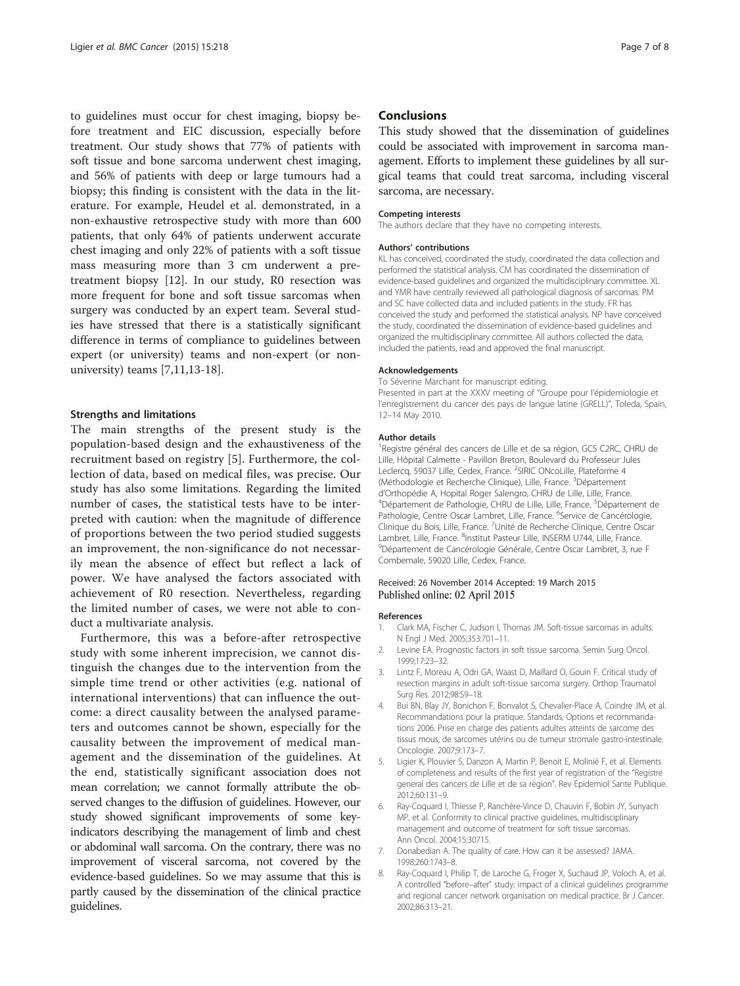<span id="page-6-0"></span>to guidelines must occur for chest imaging, biopsy before treatment and EIC discussion, especially before treatment. Our study shows that 77% of patients with soft tissue and bone sarcoma underwent chest imaging, and 56% of patients with deep or large tumours had a biopsy; this finding is consistent with the data in the literature. For example, Heudel et al. demonstrated, in a non-exhaustive retrospective study with more than 600 patients, that only 64% of patients underwent accurate chest imaging and only 22% of patients with a soft tissue mass measuring more than 3 cm underwent a pretreatment biopsy [[12\]](#page-7-0). In our study, R0 resection was more frequent for bone and soft tissue sarcomas when surgery was conducted by an expert team. Several studies have stressed that there is a statistically significant difference in terms of compliance to guidelines between expert (or university) teams and non-expert (or nonuniversity) teams [7,[11](#page-7-0),[13-18\]](#page-7-0).

#### Strengths and limitations

The main strengths of the present study is the population-based design and the exhaustiveness of the recruitment based on registry [5]. Furthermore, the collection of data, based on medical files, was precise. Our study has also some limitations. Regarding the limited number of cases, the statistical tests have to be interpreted with caution: when the magnitude of difference of proportions between the two period studied suggests an improvement, the non-significance do not necessarily mean the absence of effect but reflect a lack of power. We have analysed the factors associated with achievement of R0 resection. Nevertheless, regarding the limited number of cases, we were not able to conduct a multivariate analysis.

Furthermore, this was a before-after retrospective study with some inherent imprecision, we cannot distinguish the changes due to the intervention from the simple time trend or other activities (e.g. national of international interventions) that can influence the outcome: a direct causality between the analysed parameters and outcomes cannot be shown, especially for the causality between the improvement of medical management and the dissemination of the guidelines. At the end, statistically significant association does not mean correlation; we cannot formally attribute the observed changes to the diffusion of guidelines. However, our study showed significant improvements of some keyindicators describying the management of limb and chest or abdominal wall sarcoma. On the contrary, there was no improvement of visceral sarcoma, not covered by the evidence-based guidelines. So we may assume that this is partly caused by the dissemination of the clinical practice guidelines.

#### Conclusions

This study showed that the dissemination of guidelines could be associated with improvement in sarcoma management. Efforts to implement these guidelines by all surgical teams that could treat sarcoma, including visceral sarcoma, are necessary.

#### Competing interests

The authors declare that they have no competing interests.

#### Authors' contributions

KL has conceived, coordinated the study, coordinated the data collection and performed the statistical analysis. CM has coordinated the dissemination of evidence-based guidelines and organized the multidisciplinary committee. XL and YMR have centrally reviewed all pathological diagnosis of sarcomas. PM and SC have collected data and included patients in the study. FR has conceived the study and performed the statistical analysis. NP have conceived the study, coordinated the dissemination of evidence-based guidelines and organized the multidisciplinary committee. All authors collected the data, included the patients, read and approved the final manuscript.

#### Acknowledgements

To Séverine Marchant for manuscript editing. Presented in part at the XXXV meeting of "Groupe pour l'épidemiologie et l'enregistrement du cancer des pays de langue latine (GRELL)", Toleda, Spain, 12–14 May 2010.

#### Author details

<sup>1</sup>Registre général des cancers de Lille et de sa région, GCS C2RC, CHRU de Lille, Hôpital Calmette - Pavillon Breton, Boulevard du Professeur Jules Leclercq, 59037 Lille, Cedex, France. <sup>2</sup>SIRIC ONcoLille, Plateforme 4 (Méthodologie et Recherche Clinique), Lille, France. <sup>3</sup>Département d'Orthopédie A, Hopital Roger Salengro, CHRU de Lille, Lille, France. <sup>4</sup>Département de Pathologie, CHRU de Lille, Lille, France. <sup>5</sup>Département de Pathologie, Centre Oscar Lambret, Lille, France. <sup>6</sup>Service de Cancérologie, Clinique du Bois, Lille, France. <sup>7</sup>Unité de Recherche Clinique, Centre Oscar Lambret, Lille, France. <sup>8</sup>Institut Pasteur Lille, INSERM U744, Lille, France.<br><sup>9</sup>Département de Cancérologie Générale, Centre Oscar Lambret, 3. rue Département de Cancérologie Générale, Centre Oscar Lambret, 3, rue F Combemale, 59020 Lille, Cedex, France.

#### Received: 26 November 2014 Accepted: 19 March 2015 Published online: 02 April 2015

#### References

- 1. Clark MA, Fischer C, Judson I, Thomas JM. Soft-tissue sarcomas in adults. N Engl J Med. 2005;353:701–11.
- 2. Levine EA. Prognostic factors in soft tissue sarcoma. Semin Surg Oncol. 1999;17:23–32.
- 3. Lintz F, Moreau A, Odri GA, Waast D, Maillard O, Gouin F. Critical study of resection margins in adult soft-tissue sarcoma surgery. Orthop Traumatol Surg Res. 2012;98:S9–18.
- 4. Bui BN, Blay JY, Bonichon F, Bonvalot S, Chevalier-Place A, Coindre JM, et al. Recommandations pour la pratique. Standards, Options et recommandations 2006. Prise en charge des patients adultes atteints de sarcome des tissus mous, de sarcomes utérins ou de tumeur stromale gastro-intestinale. Oncologie. 2007;9:173–7.
- 5. Ligier K, Plouvier S, Danzon A, Martin P, Benoit E, Molinié F, et al. Elements of completeness and results of the first year of registration of the "Registre general des cancers de Lille et de sa region". Rev Epidemiol Sante Publique. 2012;60:131–9.
- 6. Ray-Coquard I, Thiesse P, Ranchère-Vince D, Chauvin F, Bobin JY, Sunyach MP, et al. Conformity to clinical practive guidelines, multidisciplinary management and outcome of treatment for soft tissue sarcomas. Ann Oncol. 2004;15:30715.
- 7. Donabedian A. The quality of care. How can it be assessed? JAMA. 1998;260:1743–8.
- 8. Ray-Coquard I, Philip T, de Laroche G, Froger X, Suchaud JP, Voloch A, et al. A controlled "before–after" study: impact of a clinical guidelines programme and regional cancer network organisation on medical practice. Br J Cancer. 2002;86:313–21.